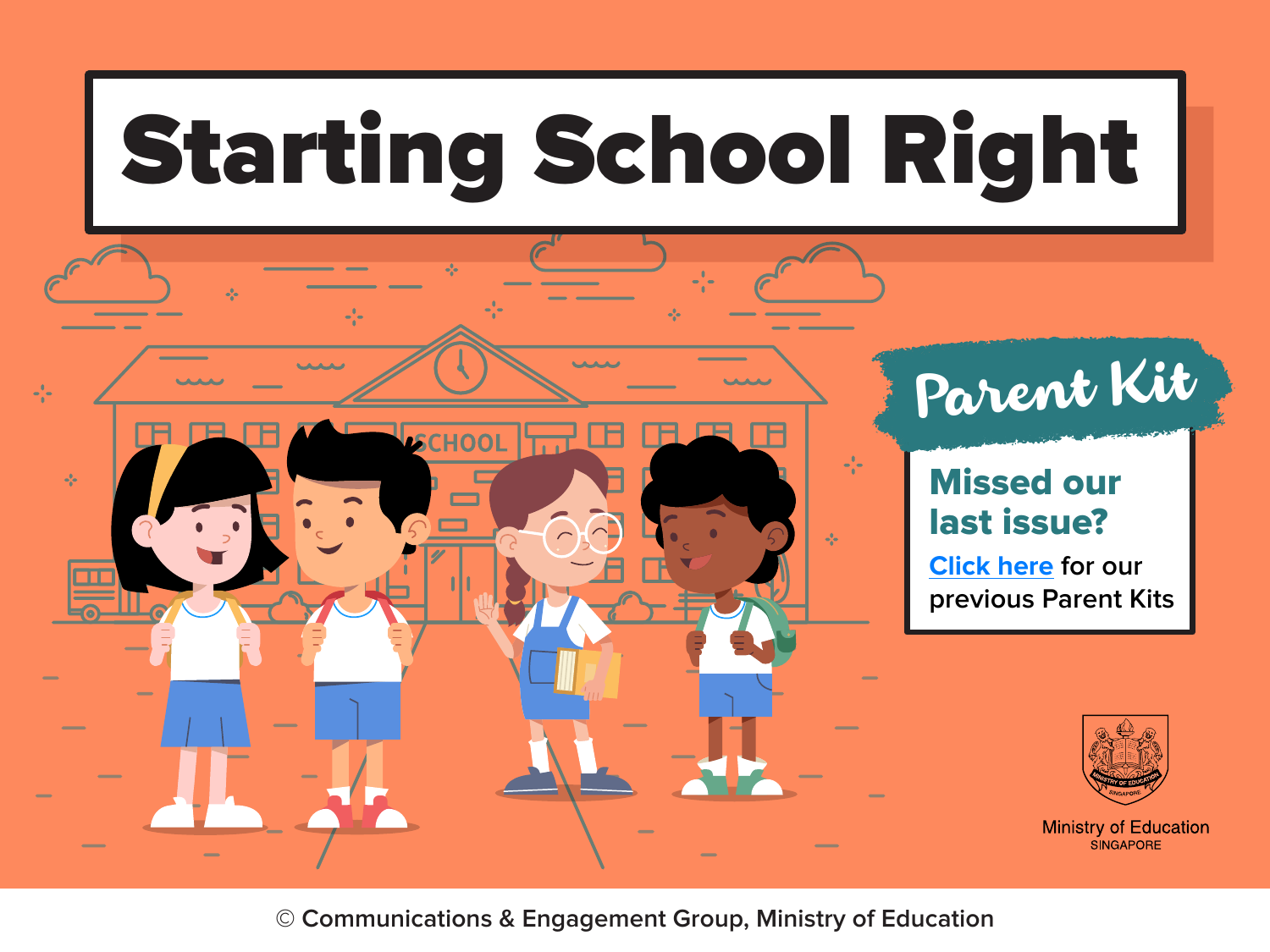

**© Communications & Engagement Group, Ministry of Education**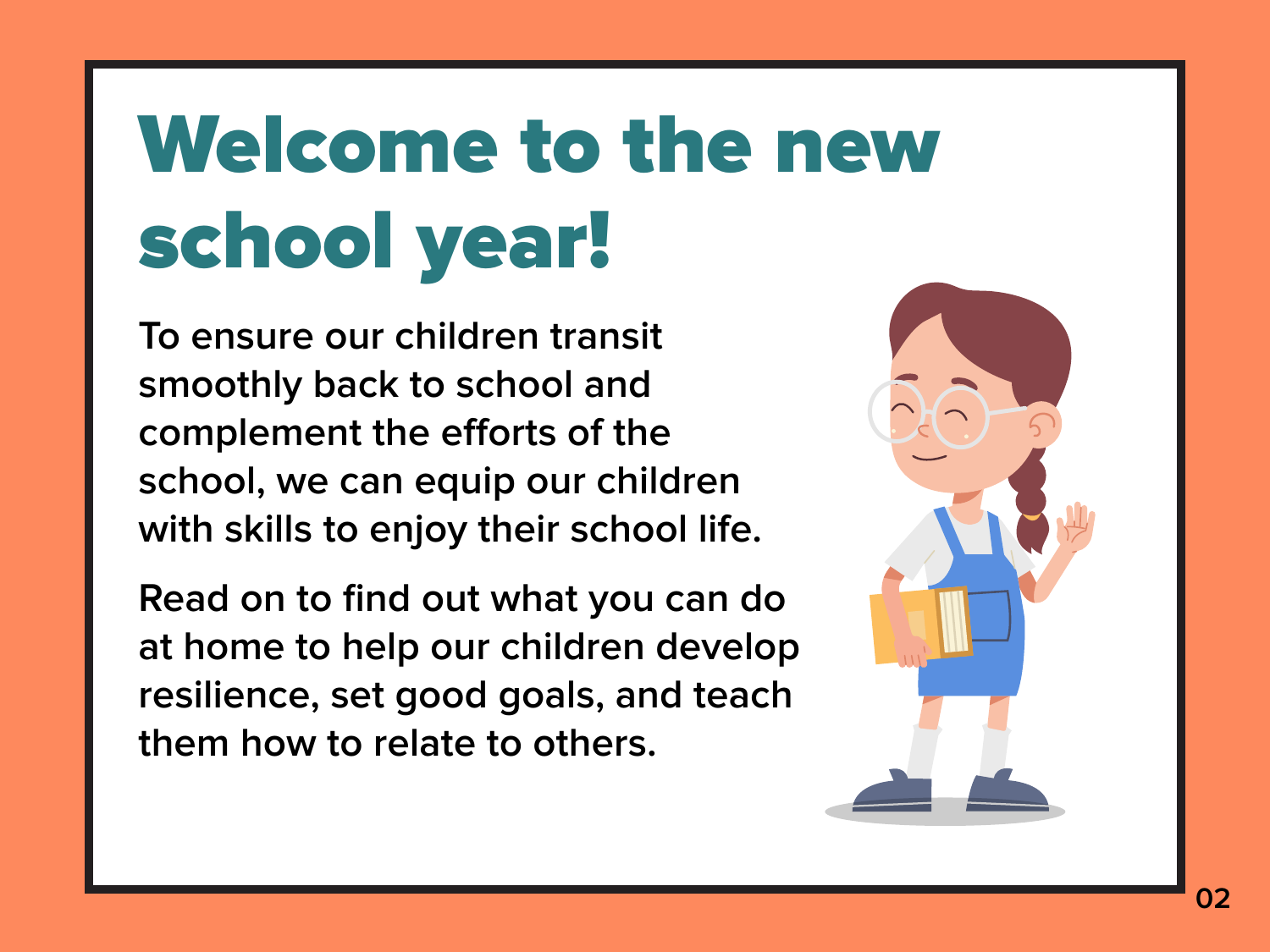# Welcome to the new school year!

**To ensure our children transit smoothly back to school and**  complement the efforts of the **school, we can equip our children with skills to enjoy their school life.**

**Read on to find out what you can do at home to help our children develop resilience, set good goals, and teach them how to relate to others.** 



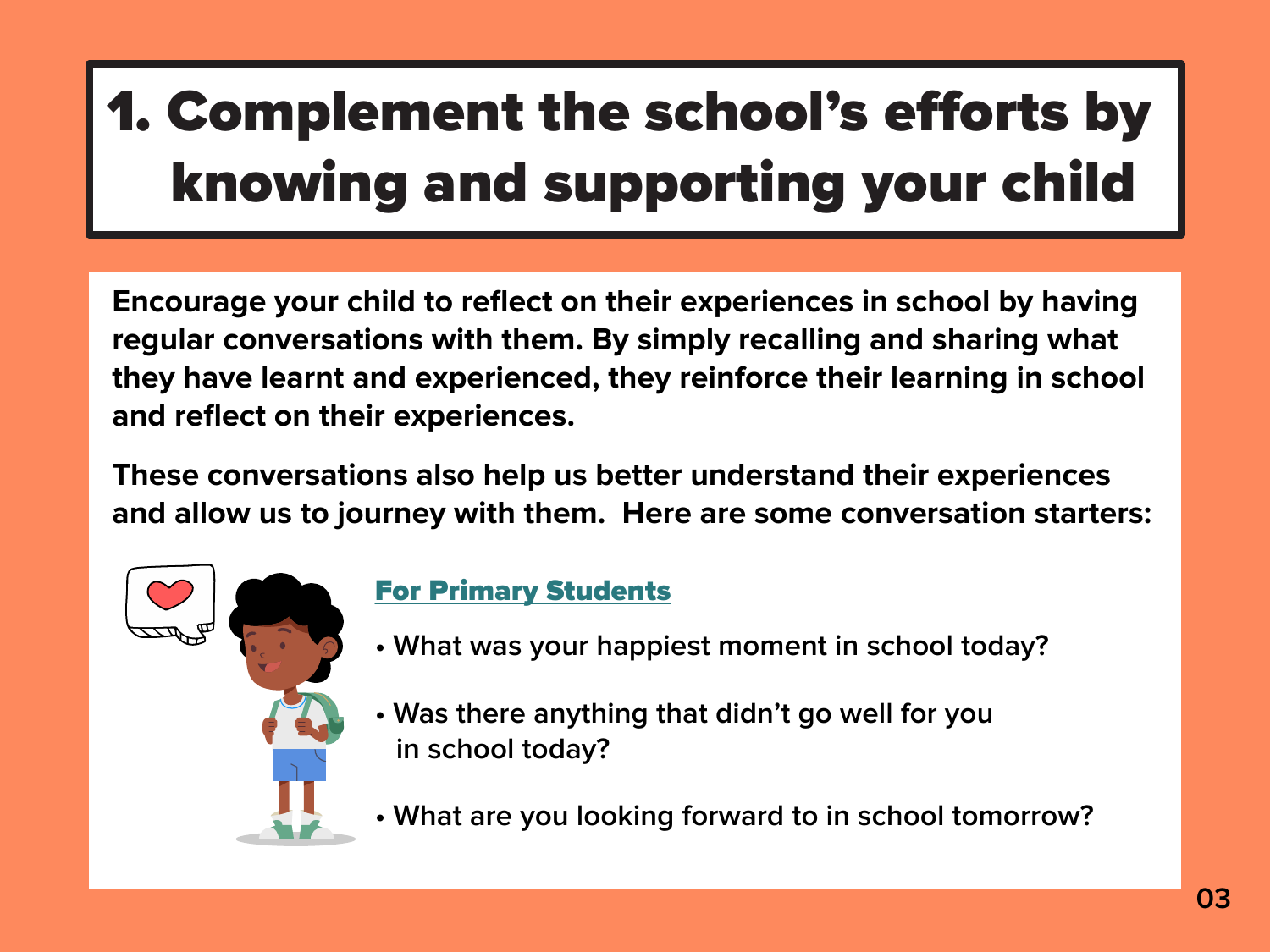- **What was your happiest moment in school today?**
- **Was there anything that didn't go well for you in school today?**
- **What are you looking forward to in school tomorrow?**

## 1. Complement the school's efforts by knowing and supporting your child

**Encourage your child to reflect on their experiences in school by having regular conversations with them. By simply recalling and sharing what they have learnt and experienced, they reinforce their learning in school and reflect on their experiences.** 

**These conversations also help us better understand their experiences and allow us to journey with them. Here are some conversation starters:**



### For Primary Students

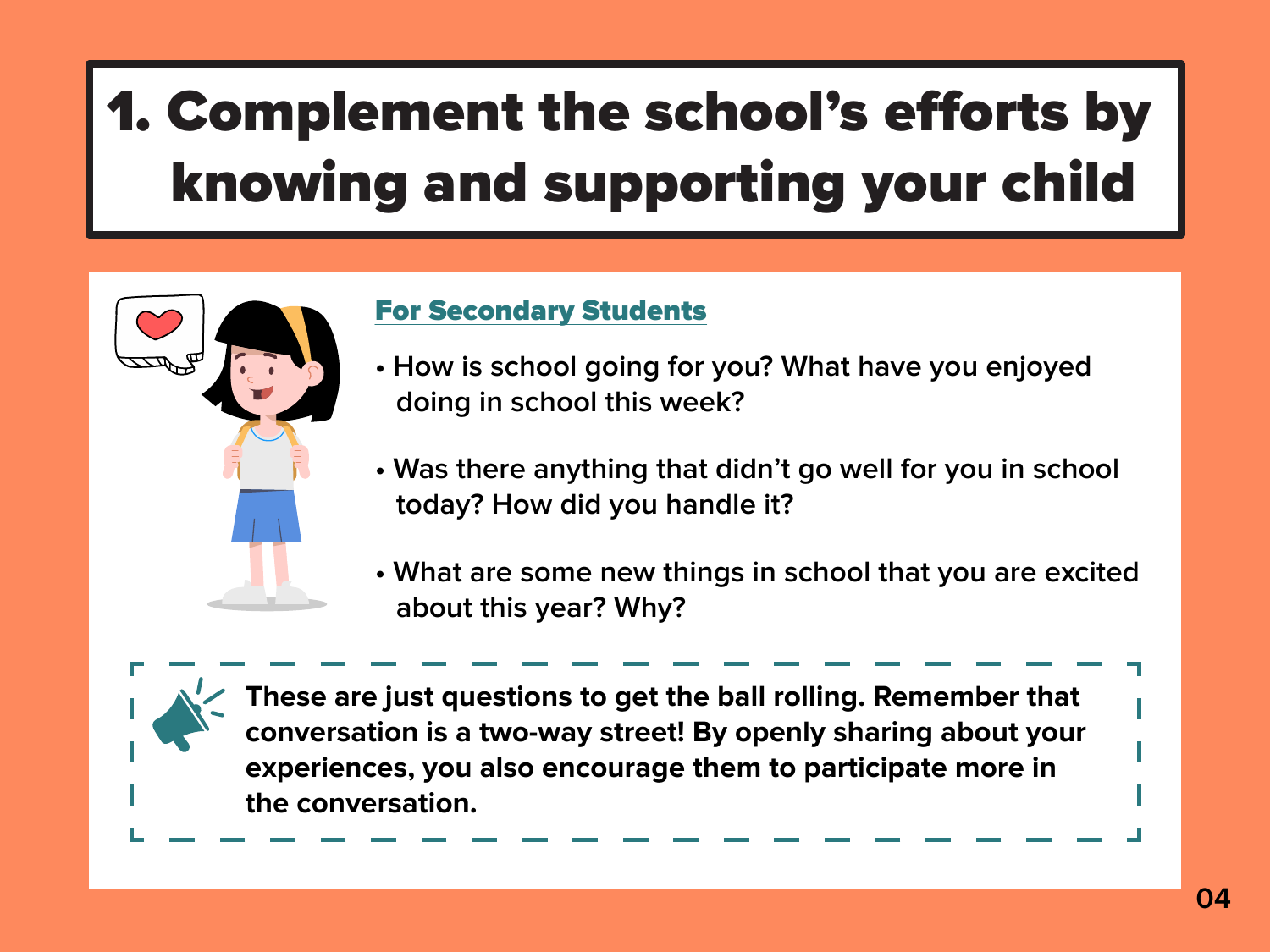

**These are just questions to get the ball rolling. Remember that conversation is a two-way street! By openly sharing about your experiences, you also encourage them to participate more in the conversation.** 

## 1. Complement the school's efforts by knowing and supporting your child



- **How is school going for you? What have you enjoyed doing in school this week?**
- **Was there anything that didn't go well for you in school today? How did you handle it?**
- **What are some new things in school that you are excited about this year? Why?**

### For Secondary Students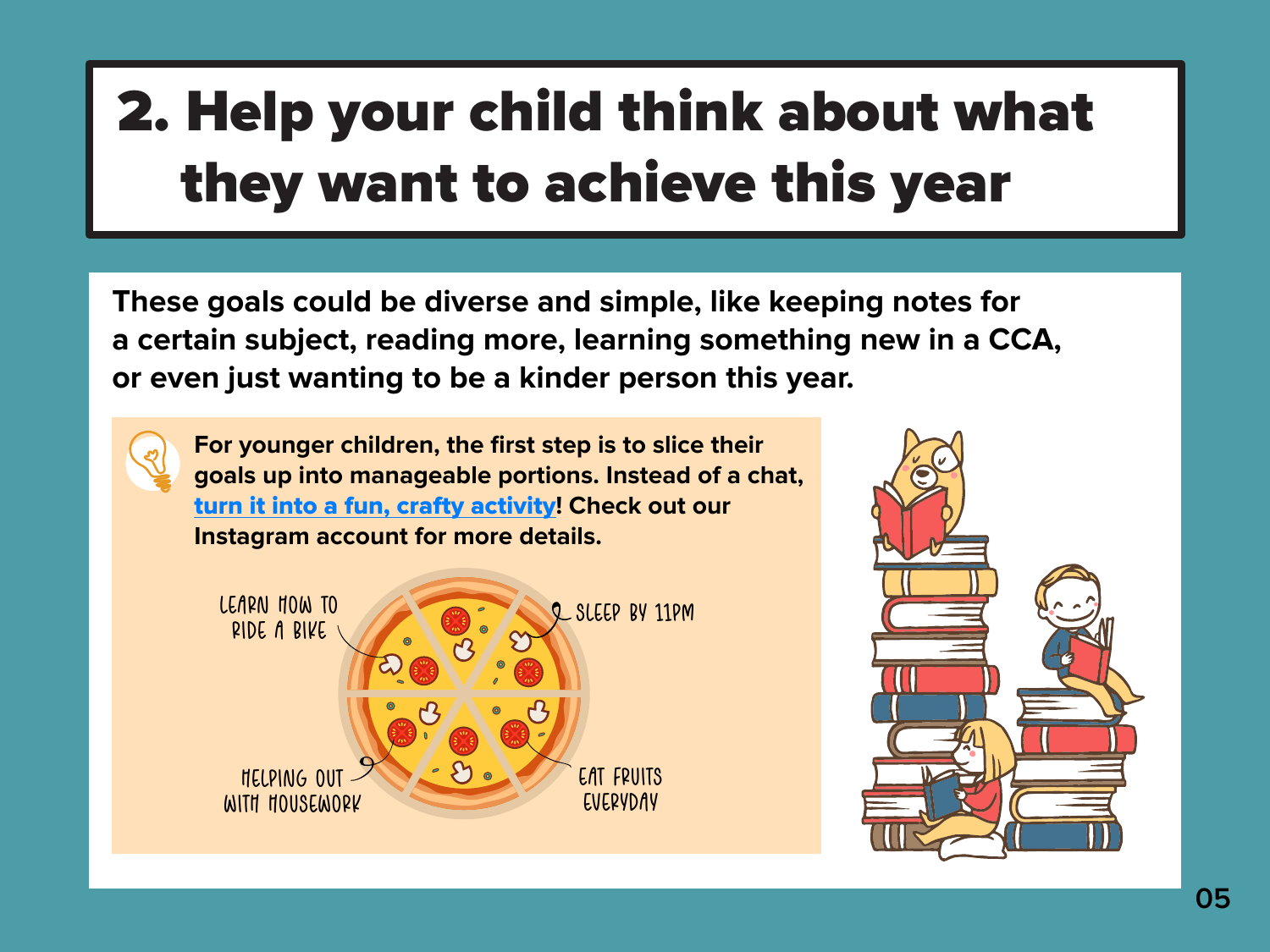## 2. Help your child think about what they want to achieve this year



**These goals could be diverse and simple, like keeping notes for a certain subject, reading more, learning something new in a CCA, or even just wanting to be a kinder person this year.**

**For younger children, the first step is to slice their goals up into manageable portions. Instead of a chat,**  [turn it into a fun, crafty activity](https://www.instagram.com/p/CJx5pJ7HVeq/)**! Check out our Instagram account for more details.**





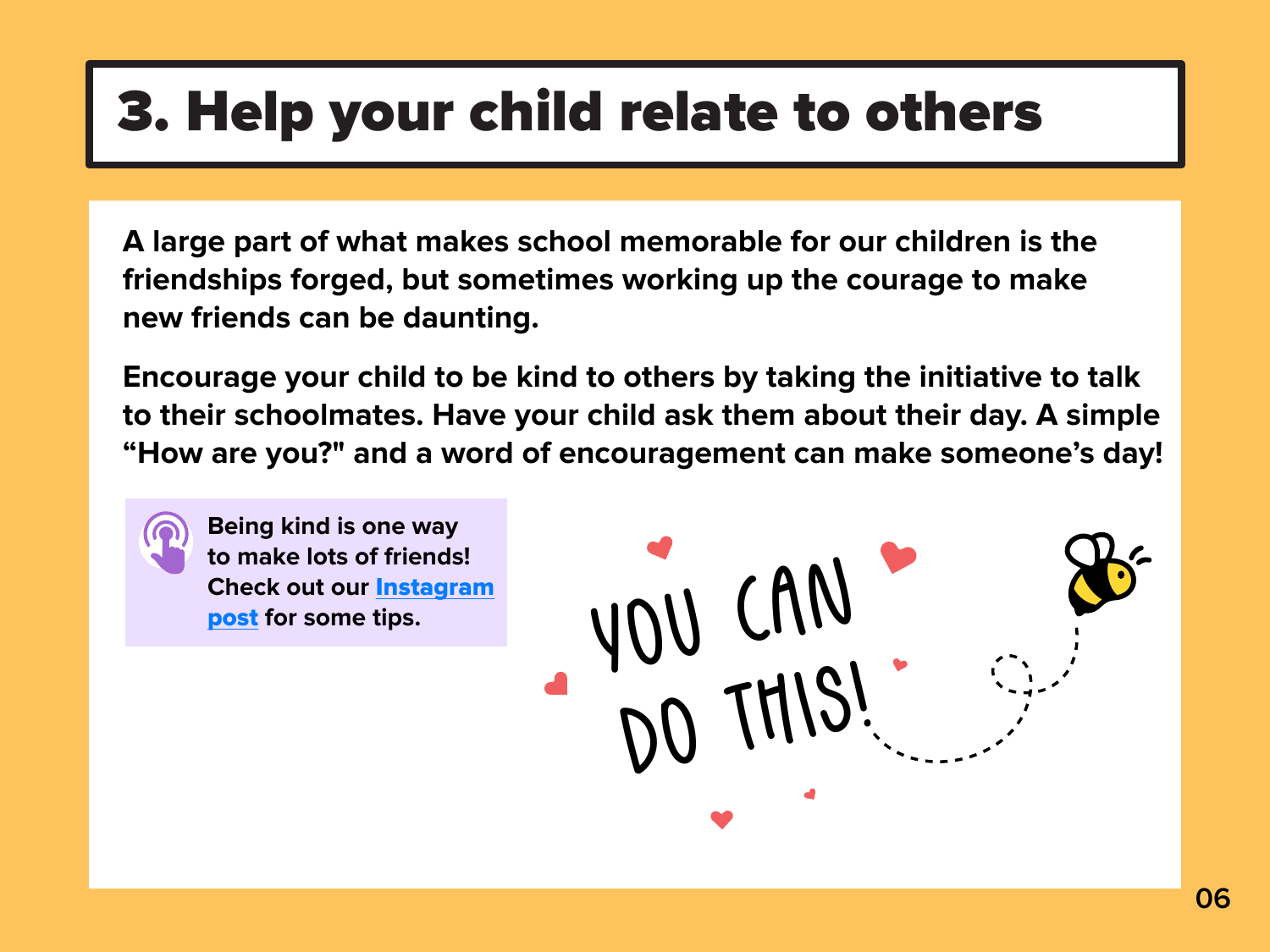**A large part of what makes school memorable for our children is the friendships forged, but sometimes working up the courage to make new friends can be daunting.**

**Encourage your child to be kind to others by taking the initiative to talk to their schoolmates. Have your child ask them about their day. A simple "How are you?" and a word of encouragement can make someone's day!** 

**Being kind is one way to make lots of friends! [Check out our](https://www.instagram.com/p/CJ-3E_lHPmi/)** Instagram

Check out our <u>Instagram</u><br>post for some tips.<br>Notified to the solution of the solution of the solution of the solution of the solution of the solution of the solution of the solution of the solution of the solution of the DO THIS!



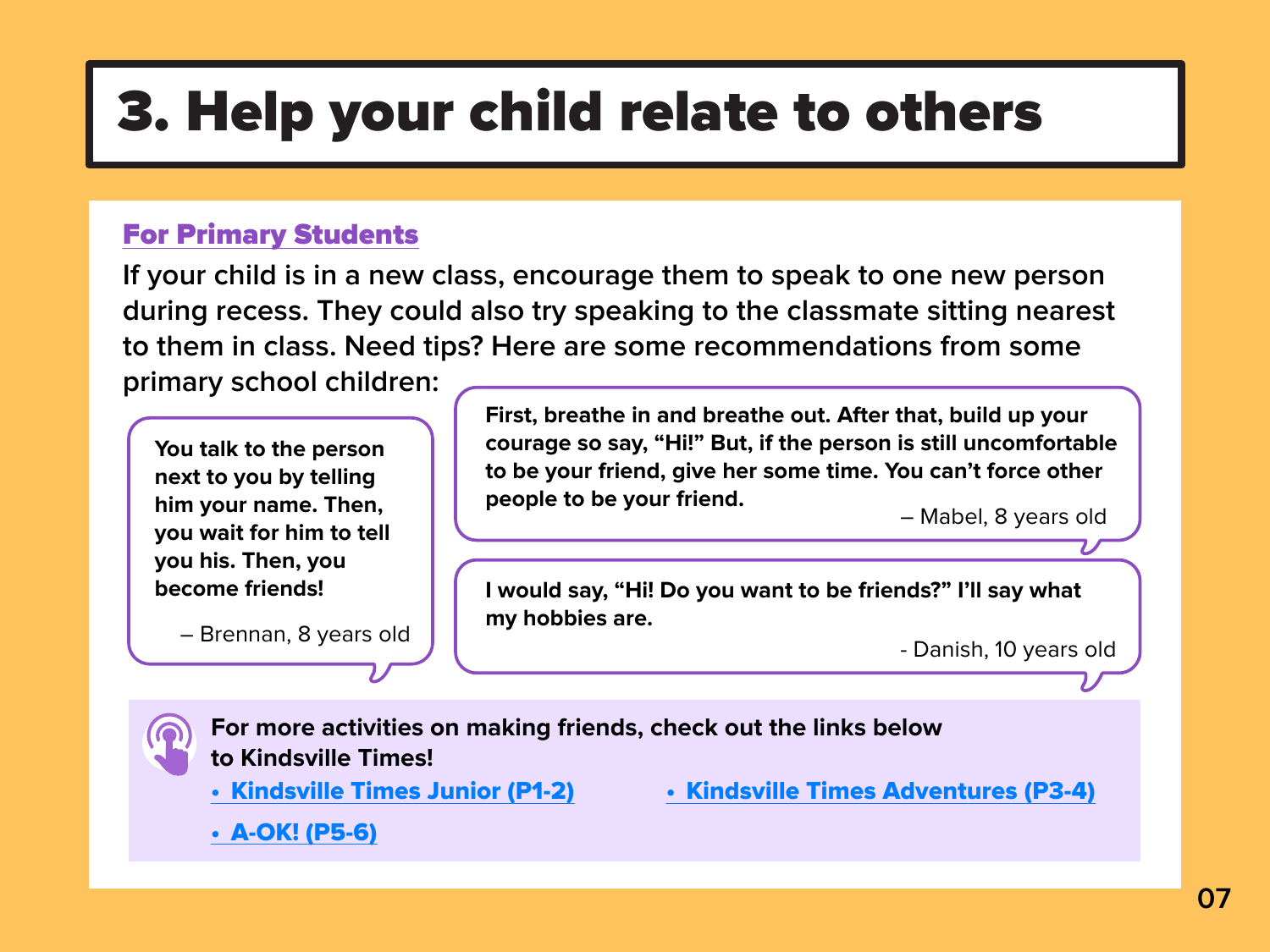**If your child is in a new class, encourage them to speak to one new person during recess. They could also try speaking to the classmate sitting nearest to them in class. Need tips? Here are some recommendations from some primary school children:**

### For Primary Students

**For more activities on making friends, check out the links below to Kindsville Times!**

[• A-OK! \(P5-6\)](https://kindsville.kindness.sg/wp-content/uploads/2020/12/AOK_Back-to-school_Issue-1_web.pdf)



- [Kindsville Times Junior \(P1-2\)](https://kindsville.kindness.sg/wp-content/uploads/2020/12/Kindsville-Times-Junior_Issue-1_Back-to-School_web_2.pdf)
- [Kindsville Times Adventures \(P3-4\)](https://kindsville.kindness.sg/wp-content/uploads/2020/12/Kindsville-Times-Adventures_Issue-1_Back-to-School_web_2.pdf)



**I would say, "Hi! Do you want to be friends?" I'll say what** 

**my hobbies are.** – Brennan, 8 years old

– Mabel, 8 years old

- Danish, 10 years old



**First, breathe in and breathe out. After that, build up your courage so say, "Hi!" But, if the person is still uncomfortable to be your friend, give her some time. You can't force other people to be your friend.**

**You talk to the person next to you by telling him your name. Then, you wait for him to tell you his. Then, you become friends!**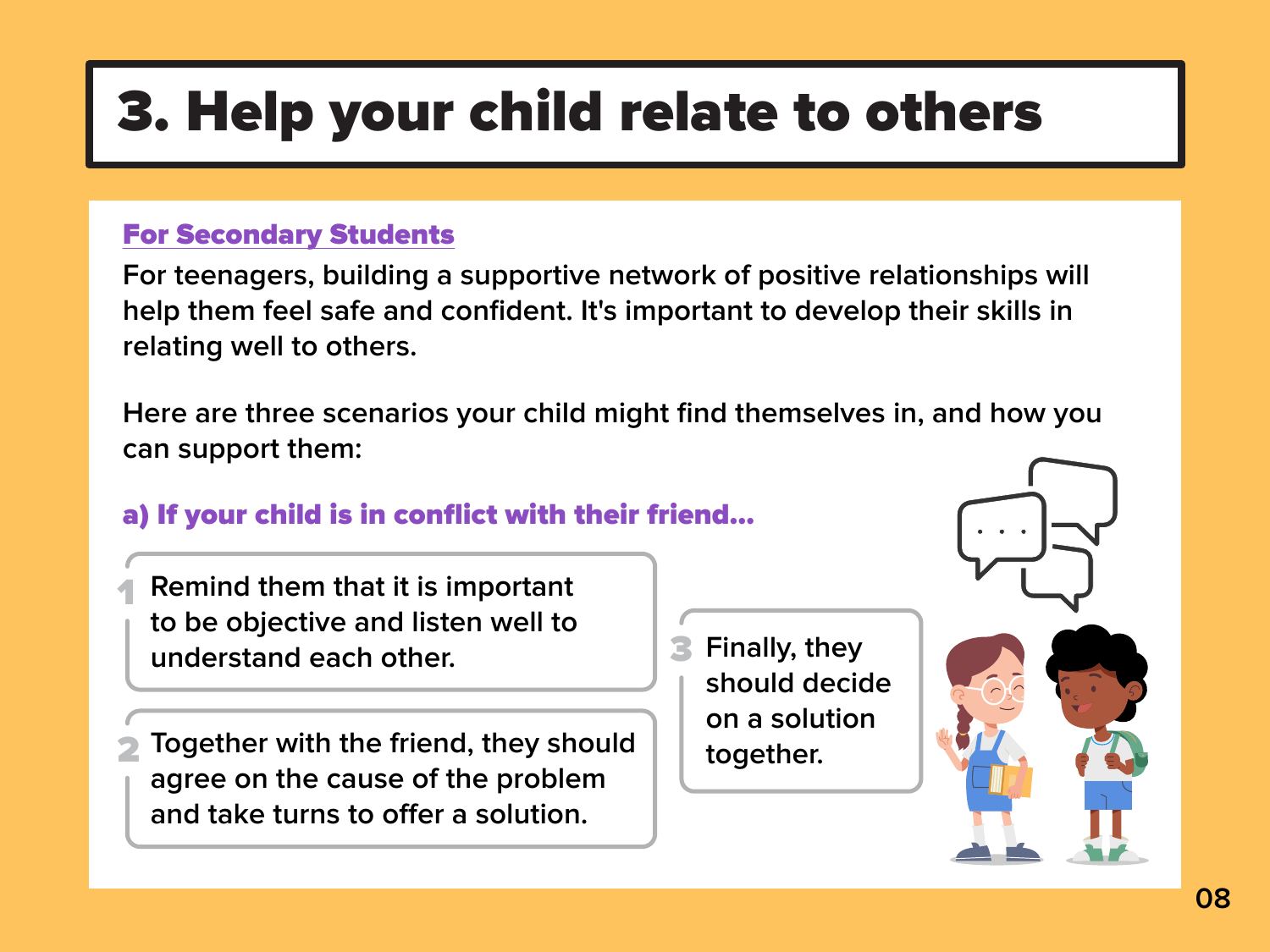**For teenagers, building a supportive network of positive relationships will help them feel safe and confident. It's important to develop their skills in relating well to others.** 

**Here are three scenarios your child might find themselves in, and how you can support them:**

> **Finally, they should decide on a solution together.** 3





### a) If your child is in conflict with their friend…

- **Remind them that it is important to be objective and listen well to understand each other.** 1
- **Together with the friend, they should agree on the cause of the problem**  and take turns to offer a solution. 2

### For Secondary Students

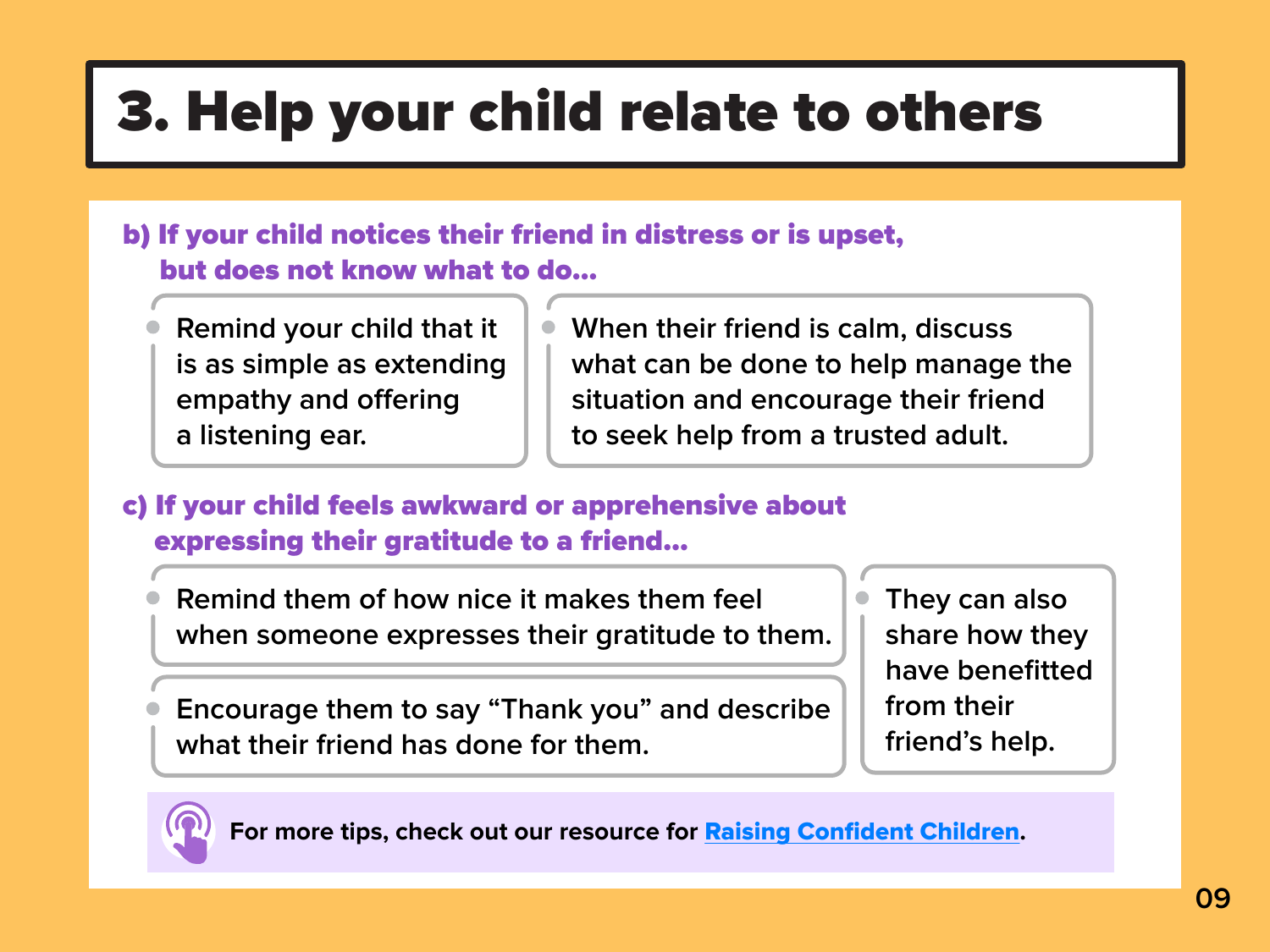c) If your child feels awkward or apprehensive about expressing their gratitude to a friend…

**For more tips, check out our resource for** [Raising Confident Children](https://www.moe.gov.sg/docs/default-source/document/education/programmes/social-emotional-learning/sel-resources-for-parents/transition-resources/raising-confident-children.pdf)**.** 







- b) If your child notices their friend in distress or is upset, but does not know what to do…
	- **Remind your child that it is as simple as extending empathy and offering a listening ear.**
- **When their friend is calm, discuss what can be done to help manage the situation and encourage their friend to seek help from a trusted adult.**

**Remind them of how nice it makes them feel when someone expresses their gratitude to them.**

**Encourage them to say "Thank you" and describe what their friend has done for them.**

**They can also share how they have benefitted from their friend's help.**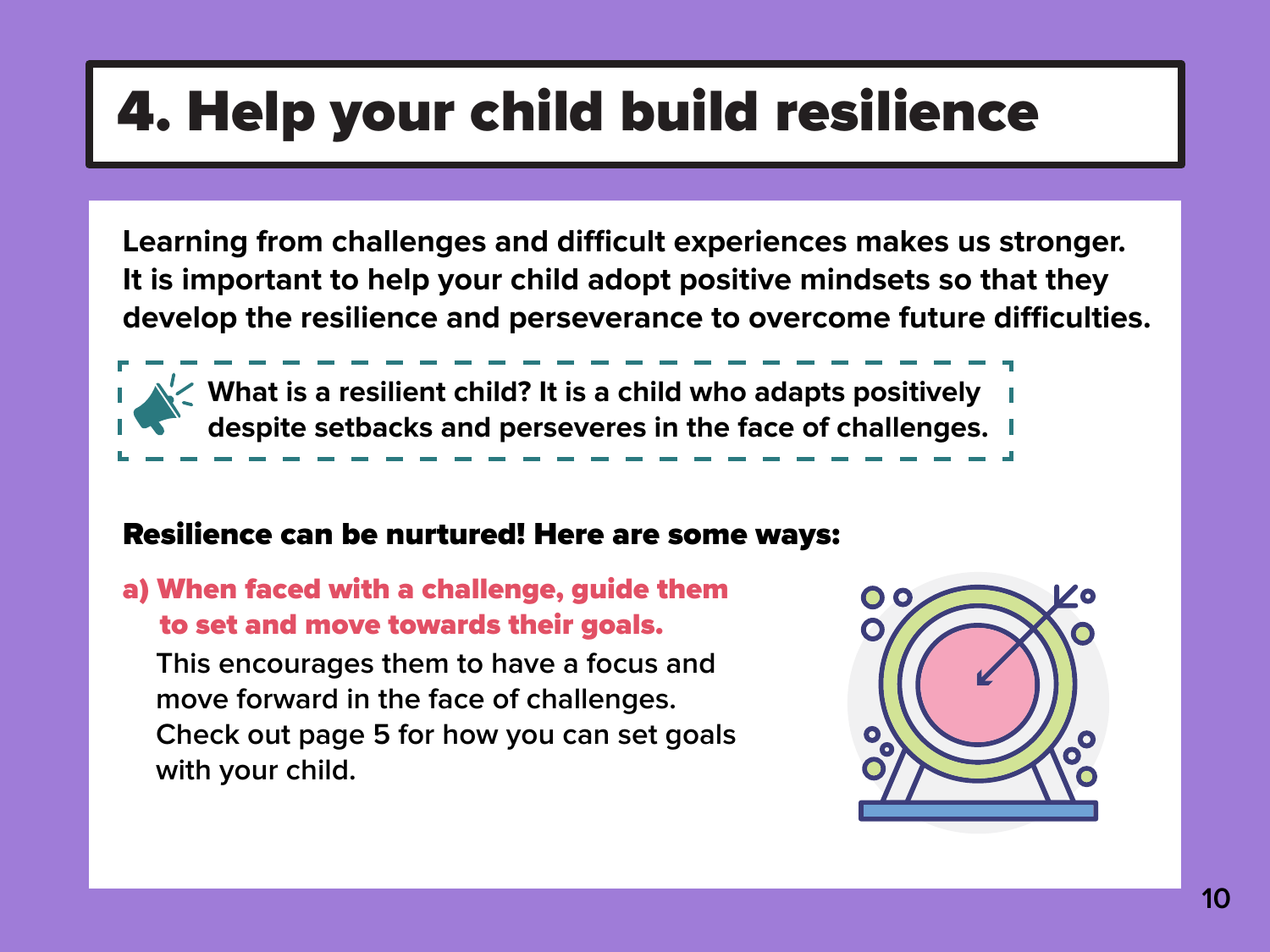a) When faced with a challenge, guide them to set and move towards their goals.

**This encourages them to have a focus and move forward in the face of challenges. Check out page 5 for how you can set goals with your child.** 





## 4. Help your child build resilience

Learning from challenges and difficult experiences makes us stronger. **It is important to help your child adopt positive mindsets so that they**  develop the resilience and perseverance to overcome future difficulties.



**What is a resilient child? It is a child who adapts positively despite setbacks and perseveres in the face of challenges.**

\_ \_ \_ \_ \_ \_ \_

### Resilience can be nurtured! Here are some ways:

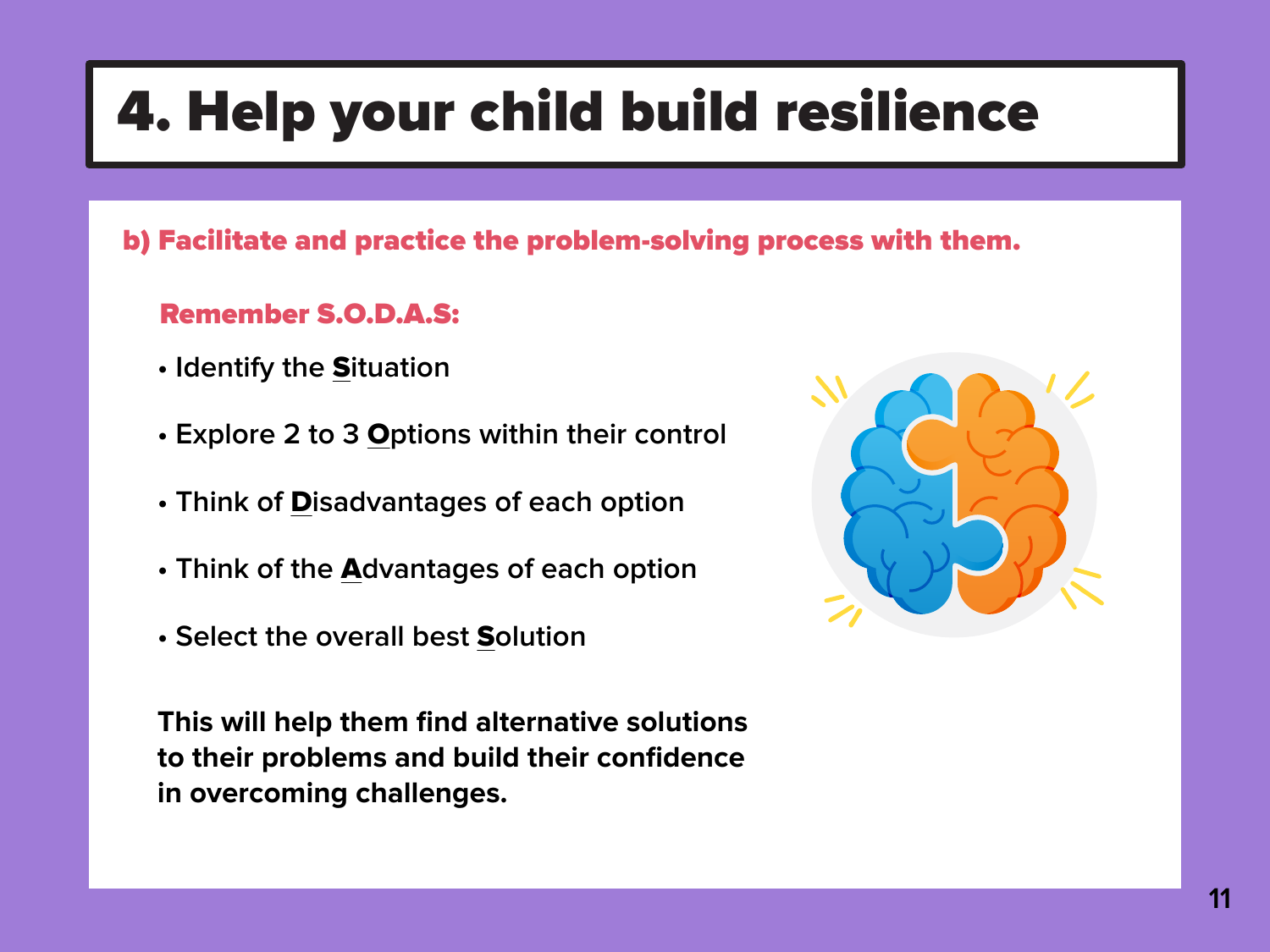b) Facilitate and practice the problem-solving process with them.

Remember S.O.D.A.S:

- **Identify the** S**ituation**
- **Explore 2 to 3** O**ptions within their control**
- **Think of** D**isadvantages of each option**
- **Think of the** A**dvantages of each option**
- **Select the overall best** S**olution**

**This will help them find alternative solutions to their problems and build their confidence in overcoming challenges.**







### 4. Help your child build resilience

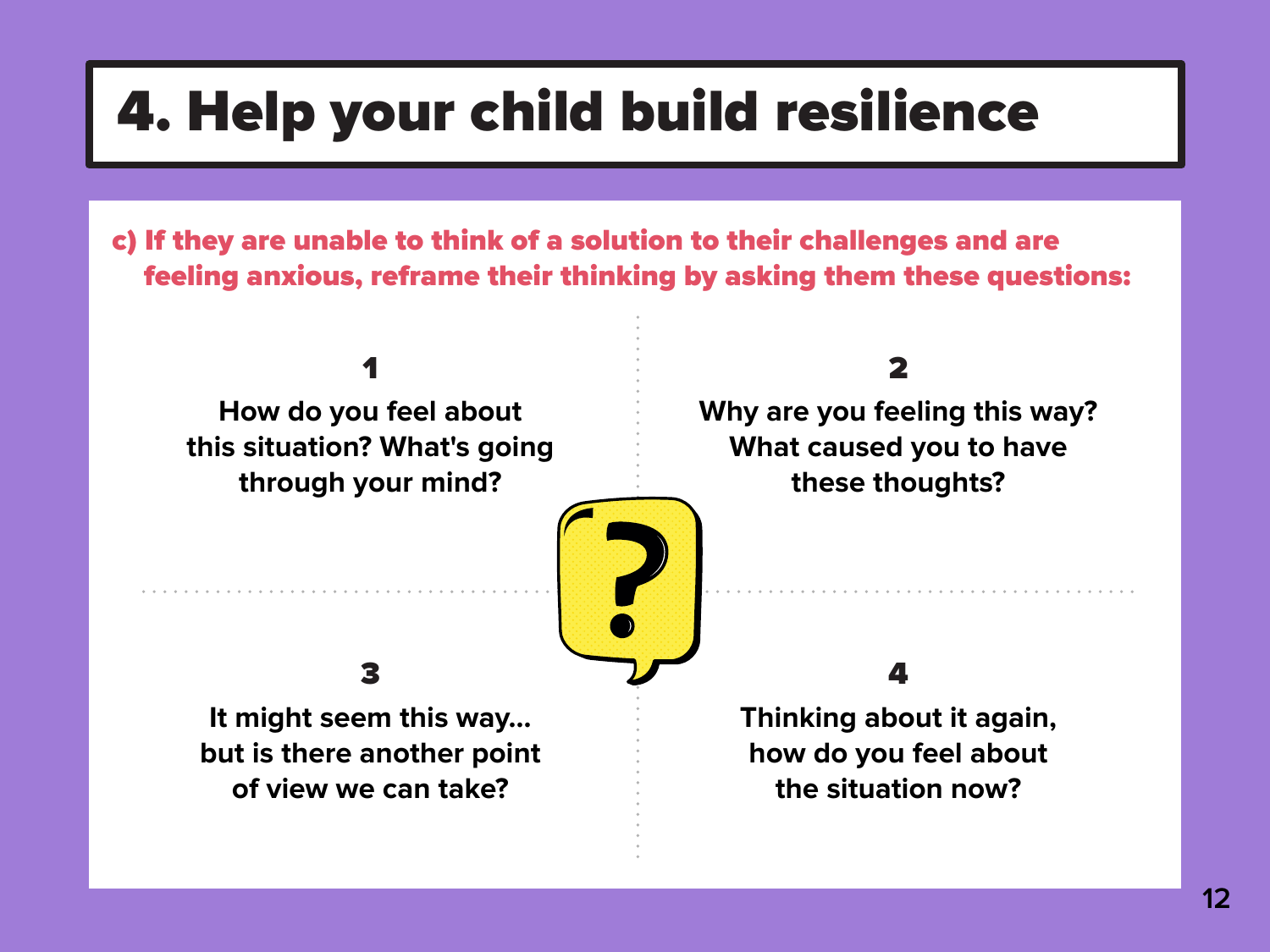c) If they are unable to think of a solution to their challenges and are feeling anxious, reframe their thinking by asking them these questions:





### 4. Help your child build resilience

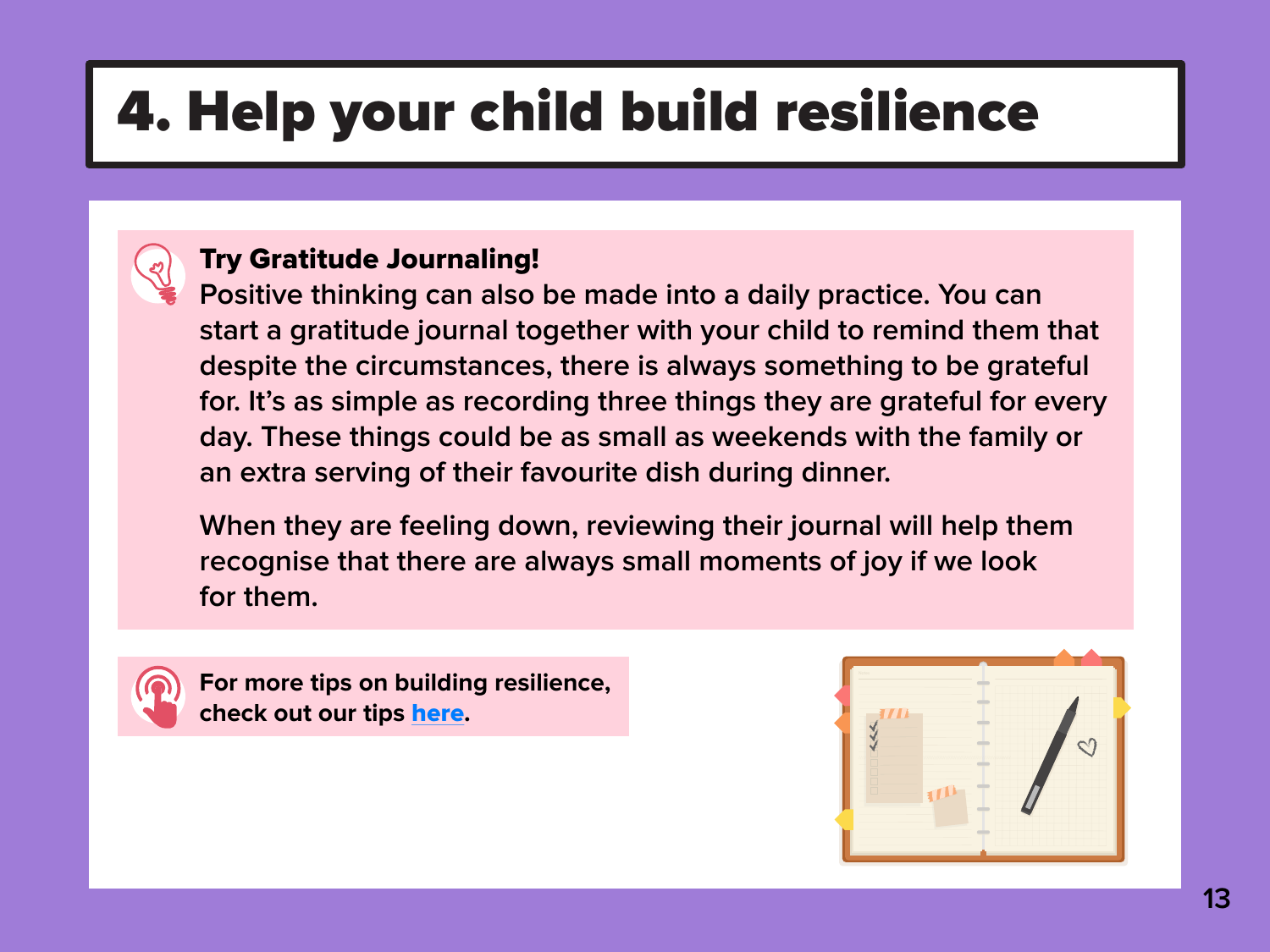### Try Gratitude Journaling!

**Positive thinking can also be made into a daily practice. You can start a gratitude journal together with your child to remind them that despite the circumstances, there is always something to be grateful for. It's as simple as recording three things they are grateful for every day. These things could be as small as weekends with the family or an extra serving of their favourite dish during dinner.** 

**When they are feeling down, reviewing their journal will help them recognise that there are always small moments of joy if we look for them.**



## 4. Help your child build resilience



**For more tips on building resilience, check out our tips** [here](https://www.moe.gov.sg/docs/default-source/document/education/programmes/social-emotional-learning/sel-resources-for-parents/resilience-boosters/gb-resilience.pdf)**.** 



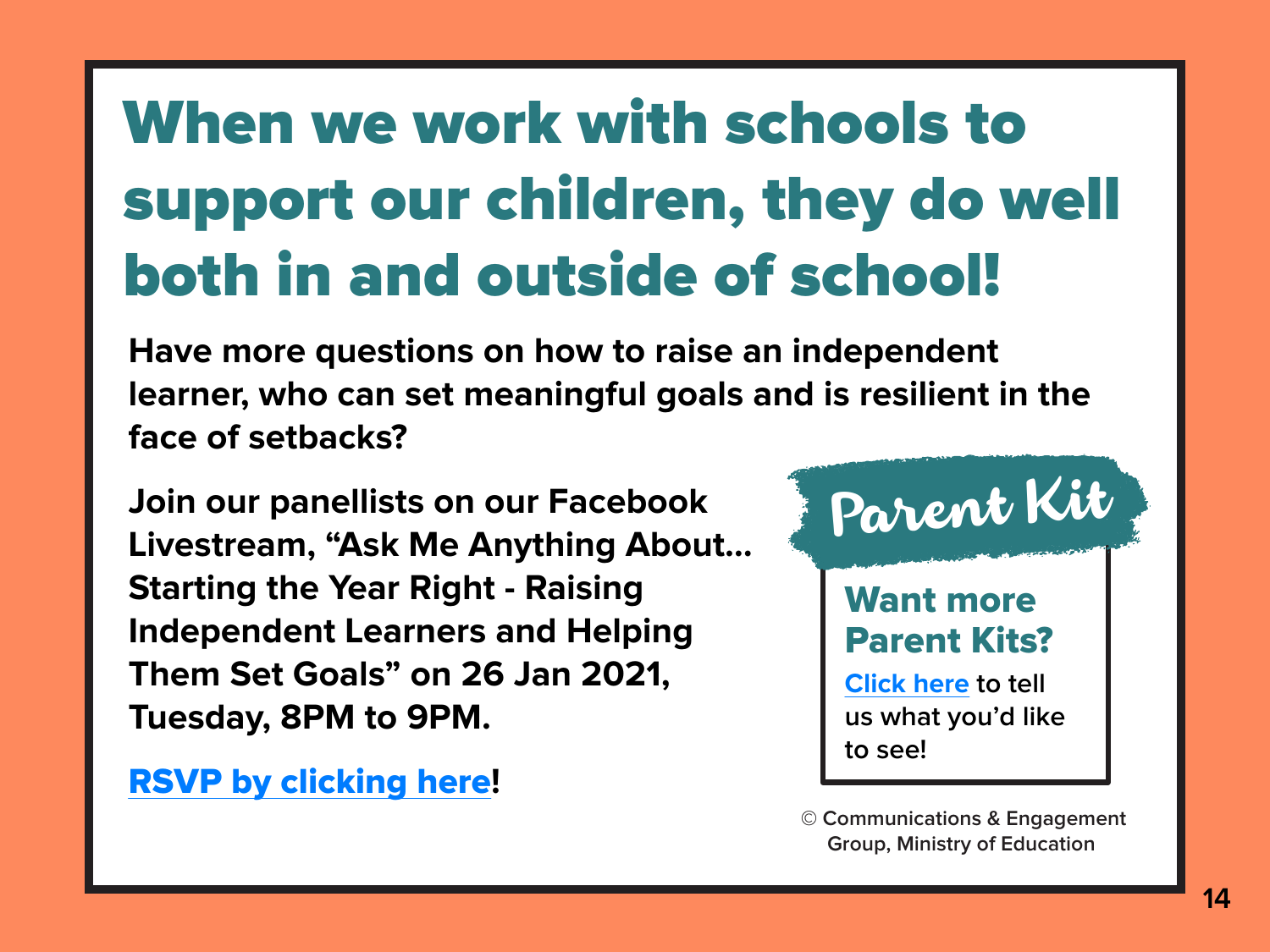## When we work with schools to support our children, they do well both in and outside of school!



# Parent Kit



**© Communications & Engagement Group, Ministry of Education**

**Have more questions on how to raise an independent learner, who can set meaningful goals and is resilient in the face of setbacks?**

**Join our panellists on our Facebook Livestream, "Ask Me Anything About… Starting the Year Right - Raising Independent Learners and Helping Them Set Goals" on 26 Jan 2021, Tuesday, 8PM to 9PM.** 

[RSVP by clicking here](https://www.facebook.com/events/714639465908157/?acontext=%7B%22ref%22%3A%2252%22%2C%22action_history%22%3A%22[%7B%5C%22surface%5C%22%3A%5C%22share_link%5C%22%2C%5C%22mechanism%5C%22%3A%5C%22share_link%5C%22%2C%5C%22extra_data%5C%22%3A%7B%5C%22invite_link_id%5C%22%3A228280515552035%7D%7D]%22%7D)**!**